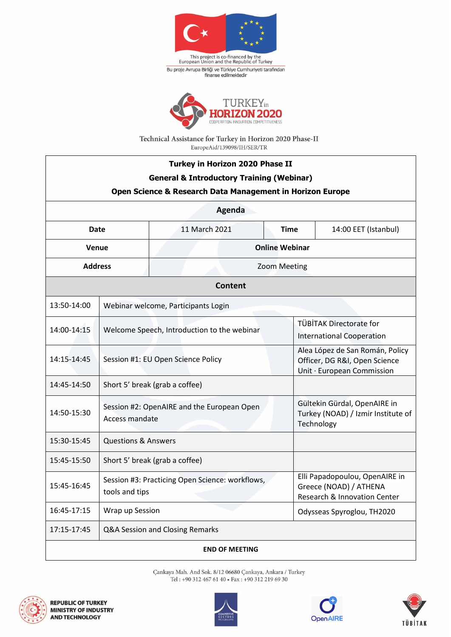

This project is co-financed by the<br>European Union and the Republic of Turkey Bu proje Avrupa Birliği ve Türkiye Cumhuriyeti tarafından<br>finanse edilmektedir



Technical Assistance for Turkey in Horizon 2020 Phase-II EuropeAid/139098/IH/SER/TR

| Turkey in Horizon 2020 Phase II<br><b>General &amp; Introductory Training (Webinar)</b><br>Open Science & Research Data Management in Horizon Europe |                                                                   |                     |                       |                                                                                          |                                                                                                |  |  |
|------------------------------------------------------------------------------------------------------------------------------------------------------|-------------------------------------------------------------------|---------------------|-----------------------|------------------------------------------------------------------------------------------|------------------------------------------------------------------------------------------------|--|--|
| Agenda                                                                                                                                               |                                                                   |                     |                       |                                                                                          |                                                                                                |  |  |
| <b>Date</b>                                                                                                                                          |                                                                   | 11 March 2021       |                       | <b>Time</b>                                                                              | 14:00 EET (Istanbul)                                                                           |  |  |
| Venue                                                                                                                                                |                                                                   |                     | <b>Online Webinar</b> |                                                                                          |                                                                                                |  |  |
| <b>Address</b>                                                                                                                                       |                                                                   | <b>Zoom Meeting</b> |                       |                                                                                          |                                                                                                |  |  |
| <b>Content</b>                                                                                                                                       |                                                                   |                     |                       |                                                                                          |                                                                                                |  |  |
| 13:50-14:00                                                                                                                                          | Webinar welcome, Participants Login                               |                     |                       |                                                                                          |                                                                                                |  |  |
| 14:00-14:15                                                                                                                                          | Welcome Speech, Introduction to the webinar                       |                     |                       |                                                                                          | TÜBİTAK Directorate for<br><b>International Cooperation</b>                                    |  |  |
| 14:15-14:45                                                                                                                                          | Session #1: EU Open Science Policy                                |                     |                       |                                                                                          | Alea López de San Román, Policy<br>Officer, DG R&I, Open Science<br>Unit · European Commission |  |  |
| 14:45-14:50                                                                                                                                          | Short 5' break (grab a coffee)                                    |                     |                       |                                                                                          |                                                                                                |  |  |
| 14:50-15:30                                                                                                                                          | Session #2: OpenAIRE and the European Open<br>Access mandate      |                     |                       |                                                                                          | Gültekin Gürdal, OpenAIRE in<br>Turkey (NOAD) / Izmir Institute of<br>Technology               |  |  |
| 15:30-15:45                                                                                                                                          | <b>Questions &amp; Answers</b>                                    |                     |                       |                                                                                          |                                                                                                |  |  |
| 15:45-15:50                                                                                                                                          | Short 5' break (grab a coffee)                                    |                     |                       |                                                                                          |                                                                                                |  |  |
| 15:45-16:45                                                                                                                                          | Session #3: Practicing Open Science: workflows,<br>tools and tips |                     |                       | Elli Papadopoulou, OpenAIRE in<br>Greece (NOAD) / ATHENA<br>Research & Innovation Center |                                                                                                |  |  |
| 16:45-17:15                                                                                                                                          | Wrap up Session                                                   |                     |                       |                                                                                          | Odysseas Spyroglou, TH2020                                                                     |  |  |
| 17:15-17:45<br>Q&A Session and Closing Remarks                                                                                                       |                                                                   |                     |                       |                                                                                          |                                                                                                |  |  |
| <b>END OF MEETING</b>                                                                                                                                |                                                                   |                     |                       |                                                                                          |                                                                                                |  |  |

Çankaya Mah. And Sok. 8/12 06680 Çankaya, Ankara / Turkey Tel : +90 312 467 61 40 • Fax : +90 312 219 69 30